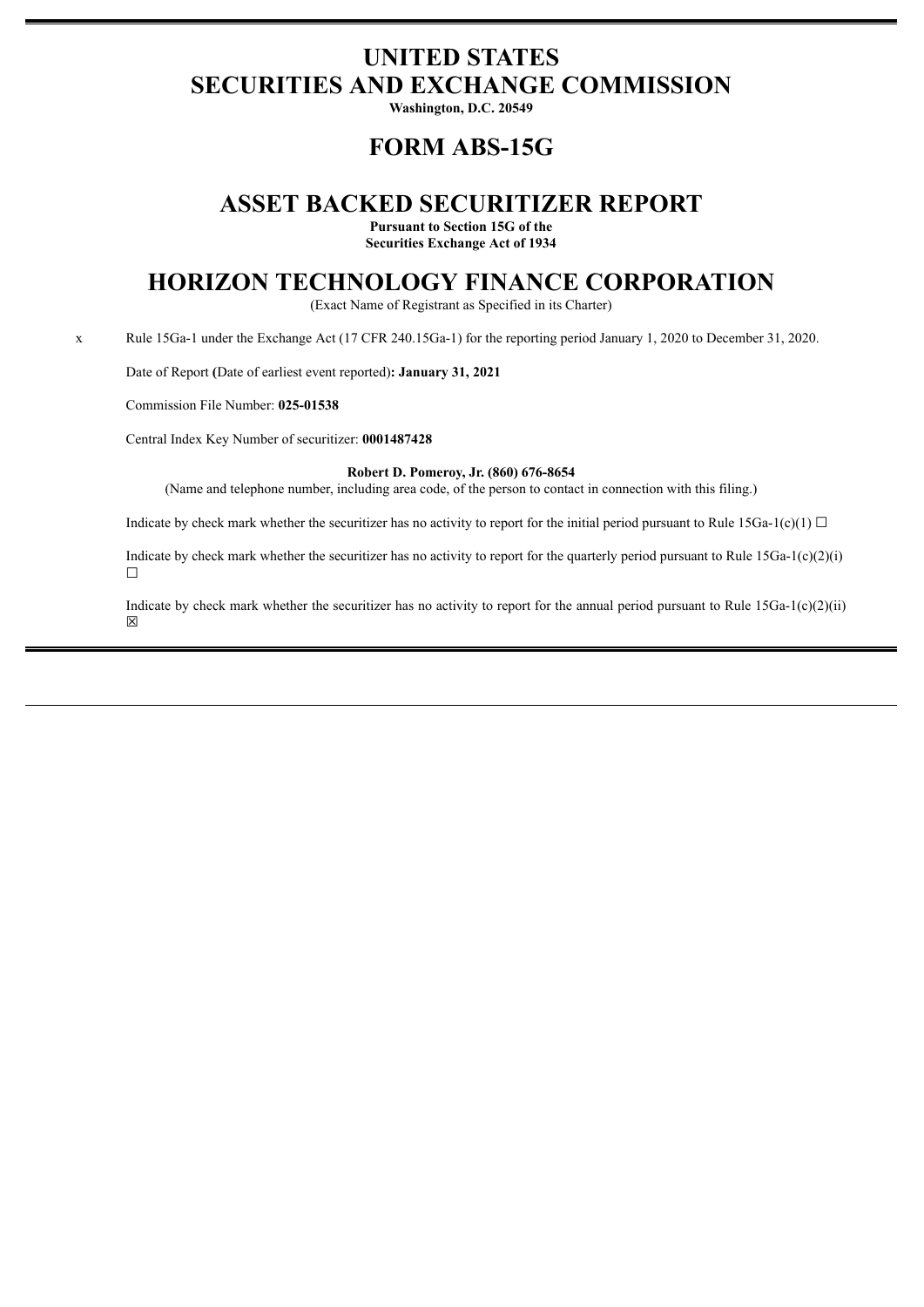# **UNITED STATES SECURITIES AND EXCHANGE COMMISSION**

**Washington, D.C. 20549**

# **FORM ABS-15G**

## **ASSET BACKED SECURITIZER REPORT**

**Pursuant to Section 15G of the Securities Exchange Act of 1934**

# **HORIZON TECHNOLOGY FINANCE CORPORATION**

(Exact Name of Registrant as Specified in its Charter)

x Rule 15Ga-1 under the Exchange Act (17 CFR 240.15Ga-1) for the reporting period January 1, 2020 to December 31, 2020.

Date of Report **(**Date of earliest event reported)**: January 31, 2021**

Commission File Number: **025-01538**

Central Index Key Number of securitizer: **0001487428**

#### **Robert D. Pomeroy, Jr. (860) 676-8654**

(Name and telephone number, including area code, of the person to contact in connection with this filing.)

Indicate by check mark whether the securitizer has no activity to report for the initial period pursuant to Rule 15Ga-1(c)(1)  $\Box$ 

Indicate by check mark whether the securitizer has no activity to report for the quarterly period pursuant to Rule  $15Ga-1(c)(2)(i)$ ☐

Indicate by check mark whether the securitizer has no activity to report for the annual period pursuant to Rule  $15Ga-1(c)(2)(ii)$ ☒